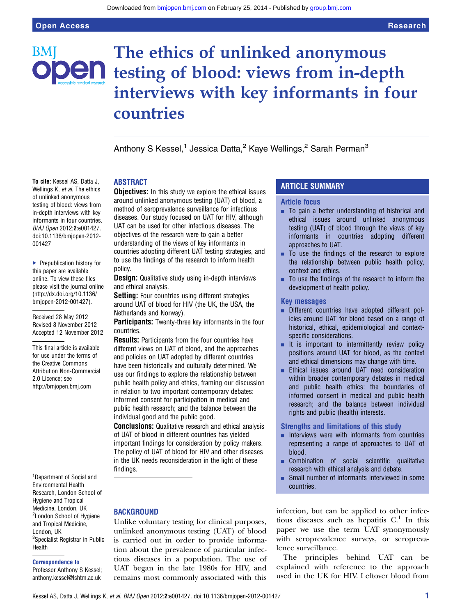BM

# The ethics of unlinked anonymous **Jen** testing of blood: views from in-depth interviews with key informants in four countries

Anthony S Kessel,<sup>1</sup> Jessica Datta,<sup>2</sup> Kaye Wellings,<sup>2</sup> Sarah Perman<sup>3</sup>

#### To cite: Kessel AS, Datta J, Wellings K, et al. The ethics of unlinked anonymous testing of blood: views from in-depth interviews with key informants in four countries. BMJ Open 2012;2:e001427. doi:10.1136/bmjopen-2012- 001427

▶ Prepublication history for this paper are available online. To view these files please visit the journal online [\(http://dx.doi.org/10.1136/](http://dx.doi.org/10.1136/bmjopen-2012-001427) [bmjopen-2012-001427](http://dx.doi.org/10.1136/bmjopen-2012-001427)).

Received 28 May 2012 Revised 8 November 2012 Accepted 12 November 2012

This final article is available for use under the terms of the Creative Commons Attribution Non-Commercial 2.0 Licence; see <http://bmjopen.bmj.com>

<sup>1</sup>Department of Social and Environmental Health Research, London School of Hygiene and Tropical Medicine, London, UK <sup>2</sup> London School of Hygiene and Tropical Medicine, London, UK <sup>3</sup>Specialist Registrar in Public Health

#### Correspondence to

Professor Anthony S Kessel; anthony.kessel@lshtm.ac.uk

# ABSTRACT

**Objectives:** In this study we explore the ethical issues around unlinked anonymous testing (UAT) of blood, a method of seroprevalence surveillance for infectious diseases. Our study focused on UAT for HIV, although UAT can be used for other infectious diseases. The objectives of the research were to gain a better understanding of the views of key informants in countries adopting different UAT testing strategies, and to use the findings of the research to inform health policy.

**Design:** Qualitative study using in-depth interviews and ethical analysis.

Setting: Four countries using different strategies around UAT of blood for HIV (the UK, the USA, the Netherlands and Norway).

**Participants:** Twenty-three key informants in the four countries.

**Results:** Participants from the four countries have different views on UAT of blood, and the approaches and policies on UAT adopted by different countries have been historically and culturally determined. We use our findings to explore the relationship between public health policy and ethics, framing our discussion in relation to two important contemporary debates: informed consent for participation in medical and public health research; and the balance between the individual good and the public good.

**Conclusions:** Qualitative research and ethical analysis of UAT of blood in different countries has yielded important findings for consideration by policy makers. The policy of UAT of blood for HIV and other diseases in the UK needs reconsideration in the light of these findings.

## **BACKGROUND**

Unlike voluntary testing for clinical purposes, unlinked anonymous testing (UAT) of blood is carried out in order to provide information about the prevalence of particular infectious diseases in a population. The use of UAT began in the late 1980s for HIV, and remains most commonly associated with this

# ARTICLE SUMMARY

#### Article focus

- $\blacksquare$  To gain a better understanding of historical and ethical issues around unlinked anonymous testing (UAT) of blood through the views of key informants in countries adopting different approaches to UAT.
- To use the findings of the research to explore the relationship between public health policy, context and ethics.
- $\blacksquare$  To use the findings of the research to inform the development of health policy.

## Key messages

- **EXECUTE:** Different countries have adopted different policies around UAT for blood based on a range of historical, ethical, epidemiological and contextspecific considerations.
- $\blacksquare$  It is important to intermittently review policy positions around UAT for blood, as the context and ethical dimensions may change with time.
- **Ethical issues around UAT need consideration** within broader contemporary debates in medical and public health ethics: the boundaries of informed consent in medical and public health research; and the balance between individual rights and public (health) interests.

Strengths and limitations of this study

- $\blacksquare$  Interviews were with informants from countries representing a range of approaches to UAT of blood.
- Combination of social scientific qualitative research with ethical analysis and debate.
- Small number of informants interviewed in some countries.

infection, but can be applied to other infectious diseases such as hepatitis  $C<sup>1</sup>$  In this paper we use the term UAT synonymously with seroprevalence surveys, or seroprevalence surveillance.

The principles behind UAT can be explained with reference to the approach used in the UK for HIV. Leftover blood from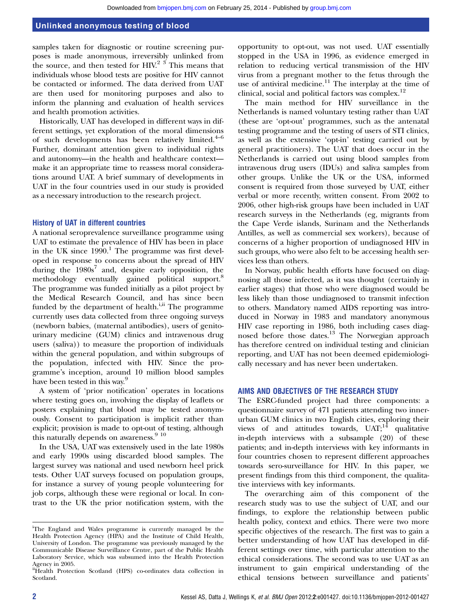samples taken for diagnostic or routine screening purposes is made anonymous, irreversibly unlinked from the source, and then tested for  $HIN<sup>2</sup>$ <sup>3</sup> This means that individuals whose blood tests are positive for HIV cannot be contacted or informed. The data derived from UAT are then used for monitoring purposes and also to inform the planning and evaluation of health services and health promotion activities.

Historically, UAT has developed in different ways in different settings, yet exploration of the moral dimensions of such developments has been relatively limited. $4-6$ Further, dominant attention given to individual rights and autonomy—in the health and healthcare context make it an appropriate time to reassess moral considerations around UAT. A brief summary of developments in UAT in the four countries used in our study is provided as a necessary introduction to the research project.

#### History of UAT in different countries

A national seroprevalence surveillance programme using UAT to estimate the prevalence of HIV has been in place in the UK since  $1990<sup>1</sup>$ . The programme was first developed in response to concerns about the spread of HIV during the  $1980s<sup>7</sup>$  and, despite early opposition, the methodology eventually gained political support.<sup>8</sup> The programme was funded initially as a pilot project by the Medical Research Council, and has since been funded by the department of health.<sup>i,ii</sup> The programme currently uses data collected from three ongoing surveys (newborn babies, (maternal antibodies), users of genitourinary medicine (GUM) clinics and intravenous drug users (saliva)) to measure the proportion of individuals within the general population, and within subgroups of the population, infected with HIV. Since the programme's inception, around 10 million blood samples have been tested in this way.<sup>9</sup>

A system of 'prior notification' operates in locations where testing goes on, involving the display of leaflets or posters explaining that blood may be tested anonymously. Consent to participation is implicit rather than explicit; provision is made to opt-out of testing, although this naturally depends on awareness.<sup>9 10</sup>

In the USA, UAT was extensively used in the late 1980s and early 1990s using discarded blood samples. The largest survey was national and used newborn heel prick tests. Other UAT surveys focused on population groups, for instance a survey of young people volunteering for job corps, although these were regional or local. In contrast to the UK the prior notification system, with the

opportunity to opt-out, was not used. UAT essentially stopped in the USA in 1996, as evidence emerged in relation to reducing vertical transmission of the HIV virus from a pregnant mother to the fetus through the use of antiviral medicine. $11$  The interplay at the time of clinical, social and political factors was complex.<sup>12</sup>

The main method for HIV surveillance in the Netherlands is named voluntary testing rather than UAT (these are 'opt-out' programmes, such as the antenatal testing programme and the testing of users of STI clinics, as well as the extensive 'opt-in' testing carried out by general practitioners). The UAT that does occur in the Netherlands is carried out using blood samples from intravenous drug users (IDUs) and saliva samples from other groups. Unlike the UK or the USA, informed consent is required from those surveyed by UAT, either verbal or more recently, written consent. From 2002 to 2006, other high-risk groups have been included in UAT research surveys in the Netherlands (eg, migrants from the Cape Verde islands, Surinam and the Netherlands Antilles, as well as commercial sex workers), because of concerns of a higher proportion of undiagnosed HIV in such groups, who were also felt to be accessing health services less than others.

In Norway, public health efforts have focused on diagnosing all those infected, as it was thought (certainly in earlier stages) that those who were diagnosed would be less likely than those undiagnosed to transmit infection to others. Mandatory named AIDS reporting was introduced in Norway in 1983 and mandatory anonymous HIV case reporting in 1986, both including cases diagnosed before those dates.<sup>13</sup> The Norwegian approach has therefore centred on individual testing and clinician reporting, and UAT has not been deemed epidemiologically necessary and has never been undertaken.

#### AIMS AND OBJECTIVES OF THE RESEARCH STUDY

The ESRC-funded project had three components: a questionnaire survey of 471 patients attending two innerurban GUM clinics in two English cities, exploring their views of and attitudes towards,  $UAT$ ;<sup>14</sup> qualitative in-depth interviews with a subsample (20) of these patients; and in-depth interviews with key informants in four countries chosen to represent different approaches towards sero-surveillance for HIV. In this paper, we present findings from this third component, the qualitative interviews with key informants.

The overarching aim of this component of the research study was to use the subject of UAT, and our findings, to explore the relationship between public health policy, context and ethics. There were two more specific objectives of the research. The first was to gain a better understanding of how UAT has developed in different settings over time, with particular attention to the ethical considerations. The second was to use UAT as an instrument to gain empirical understanding of the ethical tensions between surveillance and patients'

<sup>&</sup>lt;sup>i</sup>The England and Wales programme is currently managed by the Health Protection Agency (HPA) and the Institute of Child Health, University of London. The programme was previously managed by the Communicable Disease Surveillance Centre, part of the Public Health Laboratory Service, which was subsumed into the Health Protection Agency in 2005.

iiHealth Protection Scotland (HPS) co-ordinates data collection in Scotland.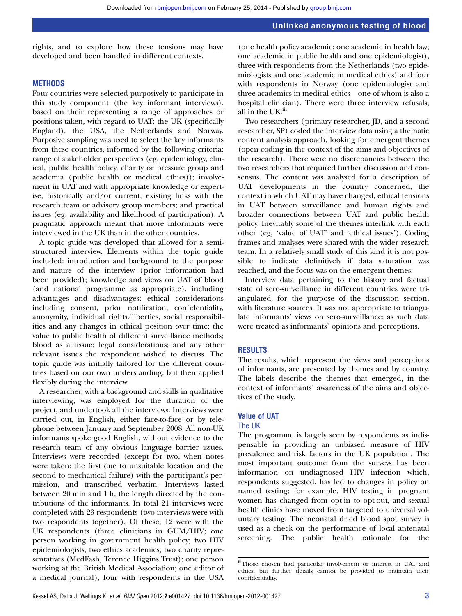rights, and to explore how these tensions may have developed and been handled in different contexts.

#### **METHODS**

Four countries were selected purposively to participate in this study component (the key informant interviews), based on their representing a range of approaches or positions taken, with regard to UAT: the UK (specifically England), the USA, the Netherlands and Norway. Purposive sampling was used to select the key informants from these countries, informed by the following criteria: range of stakeholder perspectives (eg, epidemiology, clinical, public health policy, charity or pressure group and academia (public health or medical ethics)); involvement in UAT and with appropriate knowledge or expertise, historically and/or current; existing links with the research team or advisory group members; and practical issues (eg, availability and likelihood of participation). A pragmatic approach meant that more informants were interviewed in the UK than in the other countries.

A topic guide was developed that allowed for a semistructured interview. Elements within the topic guide included: introduction and background to the purpose and nature of the interview (prior information had been provided); knowledge and views on UAT of blood (and national programme as appropriate), including advantages and disadvantages; ethical considerations including consent, prior notification, confidentiality, anonymity, individual rights/liberties, social responsibilities and any changes in ethical position over time; the value to public health of different surveillance methods; blood as a tissue; legal considerations; and any other relevant issues the respondent wished to discuss. The topic guide was initially tailored for the different countries based on our own understanding, but then applied flexibly during the interview.

A researcher, with a background and skills in qualitative interviewing, was employed for the duration of the project, and undertook all the interviews. Interviews were carried out, in English, either face-to-face or by telephone between January and September 2008. All non-UK informants spoke good English, without evidence to the research team of any obvious language barrier issues. Interviews were recorded (except for two, when notes were taken: the first due to unsuitable location and the second to mechanical failure) with the participant's permission, and transcribed verbatim. Interviews lasted between 20 min and 1 h, the length directed by the contributions of the informants. In total 21 interviews were completed with 23 respondents (two interviews were with two respondents together). Of these, 12 were with the UK respondents (three clinicians in GUM/HIV; one person working in government health policy; two HIV epidemiologists; two ethics academics; two charity representatives (MedFash, Terence Higgins Trust); one person working at the British Medical Association; one editor of a medical journal), four with respondents in the USA

(one health policy academic; one academic in health law; one academic in public health and one epidemiologist), three with respondents from the Netherlands (two epidemiologists and one academic in medical ethics) and four with respondents in Norway (one epidemiologist and three academics in medical ethics—one of whom is also a hospital clinician). There were three interview refusals, all in the UK.<sup>iii</sup>

Two researchers (primary researcher, JD, and a second researcher, SP) coded the interview data using a thematic content analysis approach, looking for emergent themes (open coding in the context of the aims and objectives of the research). There were no discrepancies between the two researchers that required further discussion and consensus. The content was analysed for a description of UAT developments in the country concerned, the context in which UAT may have changed, ethical tensions in UAT between surveillance and human rights and broader connections between UAT and public health policy. Inevitably some of the themes interlink with each other (eg, 'value of UAT' and 'ethical issues'). Coding frames and analyses were shared with the wider research team. In a relatively small study of this kind it is not possible to indicate definitively if data saturation was reached, and the focus was on the emergent themes.

Interview data pertaining to the history and factual state of sero-surveillance in different countries were triangulated, for the purpose of the discussion section, with literature sources. It was not appropriate to triangulate informants' views on sero-surveillance; as such data were treated as informants' opinions and perceptions.

## RESULTS

The results, which represent the views and perceptions of informants, are presented by themes and by country. The labels describe the themes that emerged, in the context of informants' awareness of the aims and objectives of the study.

# Value of UAT

## The UK

The programme is largely seen by respondents as indispensable in providing an unbiased measure of HIV prevalence and risk factors in the UK population. The most important outcome from the surveys has been information on undiagnosed HIV infection which, respondents suggested, has led to changes in policy on named testing; for example, HIV testing in pregnant women has changed from opt-in to opt-out, and sexual health clinics have moved from targeted to universal voluntary testing. The neonatal dried blood spot survey is used as a check on the performance of local antenatal screening. The public health rationale for the

iiiThose chosen had particular involvement or interest in UAT and ethics, but further details cannot be provided to maintain their confidentiality.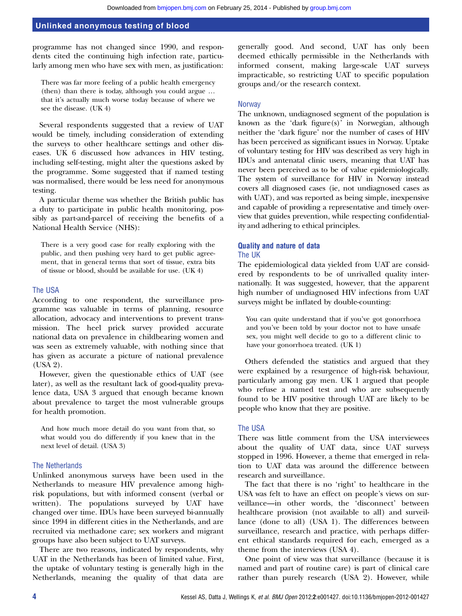programme has not changed since 1990, and respondents cited the continuing high infection rate, particularly among men who have sex with men, as justification:

There was far more feeling of a public health emergency (then) than there is today, although you could argue … that it's actually much worse today because of where we see the disease. (UK 4)

Several respondents suggested that a review of UAT would be timely, including consideration of extending the surveys to other healthcare settings and other diseases. UK 6 discussed how advances in HIV testing, including self-testing, might alter the questions asked by the programme. Some suggested that if named testing was normalised, there would be less need for anonymous testing.

A particular theme was whether the British public has a duty to participate in public health monitoring, possibly as part-and-parcel of receiving the benefits of a National Health Service (NHS):

There is a very good case for really exploring with the public, and then pushing very hard to get public agreement, that in general terms that sort of tissue, extra bits of tissue or blood, should be available for use. (UK 4)

#### The USA

According to one respondent, the surveillance programme was valuable in terms of planning, resource allocation, advocacy and interventions to prevent transmission. The heel prick survey provided accurate national data on prevalence in childbearing women and was seen as extremely valuable, with nothing since that has given as accurate a picture of national prevalence (USA 2).

However, given the questionable ethics of UAT (see later), as well as the resultant lack of good-quality prevalence data, USA 3 argued that enough became known about prevalence to target the most vulnerable groups for health promotion.

And how much more detail do you want from that, so what would you do differently if you knew that in the next level of detail. (USA 3)

#### The Netherlands

Unlinked anonymous surveys have been used in the Netherlands to measure HIV prevalence among highrisk populations, but with informed consent (verbal or written). The populations surveyed by UAT have changed over time. IDUs have been surveyed bi-annually since 1994 in different cities in the Netherlands, and are recruited via methadone care; sex workers and migrant groups have also been subject to UAT surveys.

There are two reasons, indicated by respondents, why UAT in the Netherlands has been of limited value. First, the uptake of voluntary testing is generally high in the Netherlands, meaning the quality of that data are

generally good. And second, UAT has only been deemed ethically permissible in the Netherlands with informed consent, making large-scale UAT surveys impracticable, so restricting UAT to specific population groups and/or the research context.

#### **Norway**

The unknown, undiagnosed segment of the population is known as the 'dark figure(s)' in Norwegian, although neither the 'dark figure' nor the number of cases of HIV has been perceived as significant issues in Norway. Uptake of voluntary testing for HIV was described as very high in IDUs and antenatal clinic users, meaning that UAT has never been perceived as to be of value epidemiologically. The system of surveillance for HIV in Norway instead covers all diagnosed cases (ie, not undiagnosed cases as with UAT), and was reported as being simple, inexpensive and capable of providing a representative and timely overview that guides prevention, while respecting confidentiality and adhering to ethical principles.

#### Quality and nature of data The UK

The epidemiological data yielded from UAT are considered by respondents to be of unrivalled quality internationally. It was suggested, however, that the apparent high number of undiagnosed HIV infections from UAT surveys might be inflated by double-counting:

You can quite understand that if you've got gonorrhoea and you've been told by your doctor not to have unsafe sex, you might well decide to go to a different clinic to have your gonorrhoea treated. (UK 1)

Others defended the statistics and argued that they were explained by a resurgence of high-risk behaviour, particularly among gay men. UK 1 argued that people who refuse a named test and who are subsequently found to be HIV positive through UAT are likely to be people who know that they are positive.

#### The USA

There was little comment from the USA interviewees about the quality of UAT data, since UAT surveys stopped in 1996. However, a theme that emerged in relation to UAT data was around the difference between research and surveillance.

The fact that there is no 'right' to healthcare in the USA was felt to have an effect on people's views on surveillance—in other words, the 'disconnect' between healthcare provision (not available to all) and surveillance (done to all) (USA 1). The differences between surveillance, research and practice, with perhaps different ethical standards required for each, emerged as a theme from the interviews (USA 4).

One point of view was that surveillance (because it is named and part of routine care) is part of clinical care rather than purely research (USA 2). However, while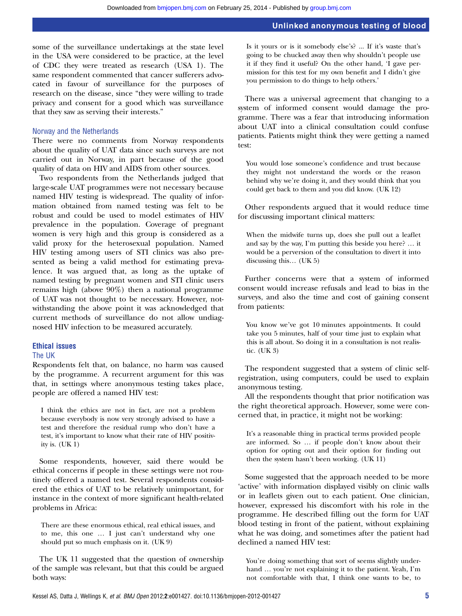some of the surveillance undertakings at the state level in the USA were considered to be practice, at the level of CDC they were treated as research (USA 1). The same respondent commented that cancer sufferers advocated in favour of surveillance for the purposes of research on the disease, since "they were willing to trade privacy and consent for a good which was surveillance that they saw as serving their interests."

#### Norway and the Netherlands

There were no comments from Norway respondents about the quality of UAT data since such surveys are not carried out in Norway, in part because of the good quality of data on HIV and AIDS from other sources.

Two respondents from the Netherlands judged that large-scale UAT programmes were not necessary because named HIV testing is widespread. The quality of information obtained from named testing was felt to be robust and could be used to model estimates of HIV prevalence in the population. Coverage of pregnant women is very high and this group is considered as a valid proxy for the heterosexual population. Named HIV testing among users of STI clinics was also presented as being a valid method for estimating prevalence. It was argued that, as long as the uptake of named testing by pregnant women and STI clinic users remains high (above 90%) then a national programme of UAT was not thought to be necessary. However, notwithstanding the above point it was acknowledged that current methods of surveillance do not allow undiagnosed HIV infection to be measured accurately.

## Ethical issues

#### The UK

Respondents felt that, on balance, no harm was caused by the programme. A recurrent argument for this was that, in settings where anonymous testing takes place, people are offered a named HIV test:

I think the ethics are not in fact, are not a problem because everybody is now very strongly advised to have a test and therefore the residual rump who don't have a test, it's important to know what their rate of HIV positivity is. (UK 1)

Some respondents, however, said there would be ethical concerns if people in these settings were not routinely offered a named test. Several respondents considered the ethics of UAT to be relatively unimportant, for instance in the context of more significant health-related problems in Africa:

There are these enormous ethical, real ethical issues, and to me, this one … I just can't understand why one should put so much emphasis on it. (UK 9)

The UK 11 suggested that the question of ownership of the sample was relevant, but that this could be argued both ways:

Is it yours or is it somebody else's? ... If it's waste that's going to be chucked away then why shouldn't people use it if they find it useful? On the other hand, 'I gave permission for this test for my own benefit and I didn't give you permission to do things to help others.'

There was a universal agreement that changing to a system of informed consent would damage the programme. There was a fear that introducing information about UAT into a clinical consultation could confuse patients. Patients might think they were getting a named test:

You would lose someone's confidence and trust because they might not understand the words or the reason behind why we're doing it, and they would think that you could get back to them and you did know. (UK 12)

Other respondents argued that it would reduce time for discussing important clinical matters:

When the midwife turns up, does she pull out a leaflet and say by the way, I'm putting this beside you here? … it would be a perversion of the consultation to divert it into discussing this… (UK 5)

Further concerns were that a system of informed consent would increase refusals and lead to bias in the surveys, and also the time and cost of gaining consent from patients:

You know we've got 10 minutes appointments. It could take you 5 minutes, half of your time just to explain what this is all about. So doing it in a consultation is not realistic. (UK 3)

The respondent suggested that a system of clinic selfregistration, using computers, could be used to explain anonymous testing.

All the respondents thought that prior notification was the right theoretical approach. However, some were concerned that, in practice, it might not be working:

It's a reasonable thing in practical terms provided people are informed. So … if people don't know about their option for opting out and their option for finding out then the system hasn't been working. (UK 11)

Some suggested that the approach needed to be more 'active' with information displayed visibly on clinic walls or in leaflets given out to each patient. One clinician, however, expressed his discomfort with his role in the programme. He described filling out the form for UAT blood testing in front of the patient, without explaining what he was doing, and sometimes after the patient had declined a named HIV test:

You're doing something that sort of seems slightly underhand … you're not explaining it to the patient. Yeah, I'm not comfortable with that, I think one wants to be, to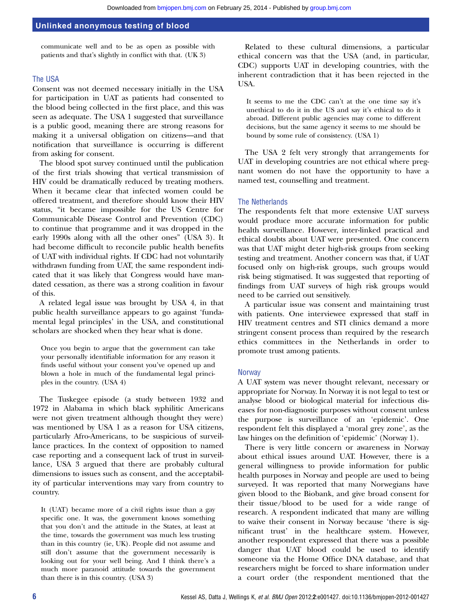communicate well and to be as open as possible with patients and that's slightly in conflict with that. (UK 3)

#### The USA

Consent was not deemed necessary initially in the USA for participation in UAT as patients had consented to the blood being collected in the first place, and this was seen as adequate. The USA 1 suggested that surveillance is a public good, meaning there are strong reasons for making it a universal obligation on citizens—and that notification that surveillance is occurring is different from asking for consent.

The blood spot survey continued until the publication of the first trials showing that vertical transmission of HIV could be dramatically reduced by treating mothers. When it became clear that infected women could be offered treatment, and therefore should know their HIV status, "it became impossible for the US Centre for Communicable Disease Control and Prevention (CDC) to continue that programme and it was dropped in the early 1990s along with all the other ones" (USA 3). It had become difficult to reconcile public health benefits of UAT with individual rights. If CDC had not voluntarily withdrawn funding from UAT, the same respondent indicated that it was likely that Congress would have mandated cessation, as there was a strong coalition in favour of this.

A related legal issue was brought by USA 4, in that public health surveillance appears to go against 'fundamental legal principles' in the USA, and constitutional scholars are shocked when they hear what is done.

Once you begin to argue that the government can take your personally identifiable information for any reason it finds useful without your consent you've opened up and blown a hole in much of the fundamental legal principles in the country. (USA 4)

The Tuskegee episode (a study between 1932 and 1972 in Alabama in which black syphilitic Americans were not given treatment although thought they were) was mentioned by USA 1 as a reason for USA citizens, particularly Afro-Americans, to be suspicious of surveillance practices. In the context of opposition to named case reporting and a consequent lack of trust in surveillance, USA 3 argued that there are probably cultural dimensions to issues such as consent, and the acceptability of particular interventions may vary from country to country.

It (UAT) became more of a civil rights issue than a gay specific one. It was, the government knows something that you don't and the attitude in the States, at least at the time, towards the government was much less trusting than in this country (ie, UK). People did not assume and still don't assume that the government necessarily is looking out for your well being. And I think there's a much more paranoid attitude towards the government than there is in this country. (USA 3)

Related to these cultural dimensions, a particular ethical concern was that the USA (and, in particular, CDC) supports UAT in developing countries, with the inherent contradiction that it has been rejected in the USA.

It seems to me the CDC can't at the one time say it's unethical to do it in the US and say it's ethical to do it abroad. Different public agencies may come to different decisions, but the same agency it seems to me should be bound by some rule of consistency. (USA 1)

The USA 2 felt very strongly that arrangements for UAT in developing countries are not ethical where pregnant women do not have the opportunity to have a named test, counselling and treatment.

## The Netherlands

The respondents felt that more extensive UAT surveys would produce more accurate information for public health surveillance. However, inter-linked practical and ethical doubts about UAT were presented. One concern was that UAT might deter high-risk groups from seeking testing and treatment. Another concern was that, if UAT focused only on high-risk groups, such groups would risk being stigmatised. It was suggested that reporting of findings from UAT surveys of high risk groups would need to be carried out sensitively.

A particular issue was consent and maintaining trust with patients. One interviewee expressed that staff in HIV treatment centres and STI clinics demand a more stringent consent process than required by the research ethics committees in the Netherlands in order to promote trust among patients.

#### **Norway**

A UAT system was never thought relevant, necessary or appropriate for Norway. In Norway it is not legal to test or analyse blood or biological material for infectious diseases for non-diagnostic purposes without consent unless the purpose is surveillance of an 'epidemic'. One respondent felt this displayed a 'moral grey zone', as the law hinges on the definition of 'epidemic' (Norway 1).

There is very little concern or awareness in Norway about ethical issues around UAT. However, there is a general willingness to provide information for public health purposes in Norway and people are used to being surveyed. It was reported that many Norwegians have given blood to the Biobank, and give broad consent for their tissue/blood to be used for a wide range of research. A respondent indicated that many are willing to waive their consent in Norway because 'there is significant trust' in the healthcare system. However, another respondent expressed that there was a possible danger that UAT blood could be used to identify someone via the Home Office DNA database, and that researchers might be forced to share information under a court order (the respondent mentioned that the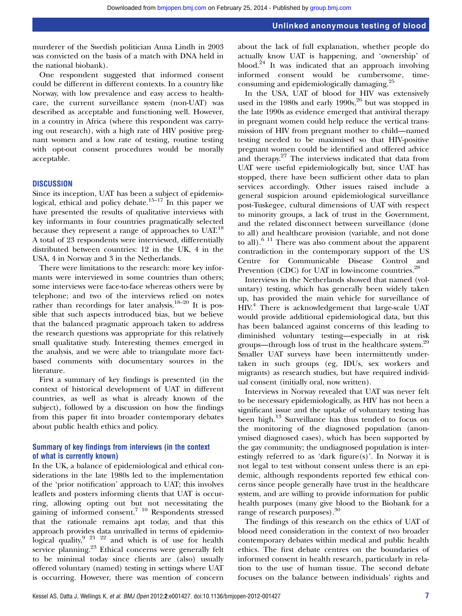murderer of the Swedish politician Anna Lindh in 2003 was convicted on the basis of a match with DNA held in the national biobank).

One respondent suggested that informed consent could be different in different contexts. In a country like Norway, with low prevalence and easy access to healthcare, the current surveillance system (non-UAT) was described as acceptable and functioning well. However, in a country in Africa (where this respondent was carrying out research), with a high rate of HIV positive pregnant women and a low rate of testing, routine testing with opt-out consent procedures would be morally acceptable.

## **DISCUSSION**

Since its inception, UAT has been a subject of epidemiological, ethical and policy debate.<sup>15-17</sup> In this paper we have presented the results of qualitative interviews with key informants in four countries pragmatically selected because they represent a range of approaches to UAT.18 A total of 23 respondents were interviewed, differentially distributed between countries: 12 in the UK, 4 in the USA, 4 in Norway and 3 in the Netherlands.

There were limitations to the research: more key informants were interviewed in some countries than others; some interviews were face-to-face whereas others were by telephone; and two of the interviews relied on notes rather than recordings for later analysis.<sup>18–20</sup> It is possible that such aspects introduced bias, but we believe that the balanced pragmatic approach taken to address the research questions was appropriate for this relatively small qualitative study. Interesting themes emerged in the analysis, and we were able to triangulate more factbased comments with documentary sources in the literature.

First a summary of key findings is presented (in the context of historical development of UAT in different countries, as well as what is already known of the subject), followed by a discussion on how the findings from this paper fit into broader contemporary debates about public health ethics and policy.

# Summary of key findings from interviews (in the context of what is currently known)

In the UK, a balance of epidemiological and ethical considerations in the late 1980s led to the implementation of the 'prior notification' approach to UAT; this involves leaflets and posters informing clients that UAT is occurring, allowing opting out but not necessitating the gaining of informed consent.<sup>7</sup> <sup>10</sup> Respondents stressed that the rationale remains apt today, and that this approach provides data unrivalled in terms of epidemiological quality, $9^{9}$   $21^{22}$  and which is of use for health service planning.<sup>23</sup> Ethical concerns were generally felt to be minimal today since clients are (also) usually offered voluntary (named) testing in settings where UAT is occurring. However, there was mention of concern

about the lack of full explanation, whether people do actually know UAT is happening, and 'ownership' of blood.<sup>24</sup> It was indicated that an approach involving informed consent would be cumbersome, timeconsuming and epidemiologically damaging.<sup>25</sup>

In the USA, UAT of blood for HIV was extensively used in the 1980s and early 1990s, $2^6$  but was stopped in the late 1990s as evidence emerged that antiviral therapy in pregnant women could help reduce the vertical transmission of HIV from pregnant mother to child—named testing needed to be maximised so that HIV-positive pregnant women could be identified and offered advice and therapy.<sup>27</sup> The interviews indicated that data from UAT were useful epidemiologically but, since UAT has stopped, there have been sufficient other data to plan services accordingly. Other issues raised include a general suspicion around epidemiological surveillance post-Tuskegee, cultural dimensions of UAT with respect to minority groups, a lack of trust in the Government, and the related disconnect between surveillance (done to all) and healthcare provision (variable, and not done to all).<sup>6 11</sup> There was also comment about the apparent contradiction in the contemporary support of the US Centre for Communicable Disease Control and Prevention (CDC) for UAT in low-income countries.<sup>28</sup>

Interviews in the Netherlands showed that named (voluntary) testing, which has generally been widely taken up, has provided the main vehicle for surveillance of HIV.4 There is acknowledgement that large-scale UAT would provide additional epidemiological data, but this has been balanced against concerns of this leading to diminished voluntary testing—especially in at risk groups—through loss of trust in the healthcare system.<sup>29</sup> Smaller UAT surveys have been intermittently undertaken in such groups (eg, IDUs, sex workers and migrants) as research studies, but have required individual consent (initially oral, now written).

Interviews in Norway revealed that UAT was never felt to be necessary epidemiologically, as HIV has not been a significant issue and the uptake of voluntary testing has been high.<sup>13</sup> Surveillance has thus tended to focus on the monitoring of the diagnosed population (anonymised diagnosed cases), which has been supported by the gay community; the undiagnosed population is interestingly referred to as 'dark figure(s)'. In Norway it is not legal to test without consent unless there is an epidemic, although respondents reported few ethical concerns since people generally have trust in the healthcare system, and are willing to provide information for public health purposes (many give blood to the Biobank for a range of research purposes).<sup>30</sup>

The findings of this research on the ethics of UAT of blood need consideration in the context of two broader contemporary debates within medical and public health ethics. The first debate centres on the boundaries of informed consent in health research, particularly in relation to the use of human tissue. The second debate focuses on the balance between individuals' rights and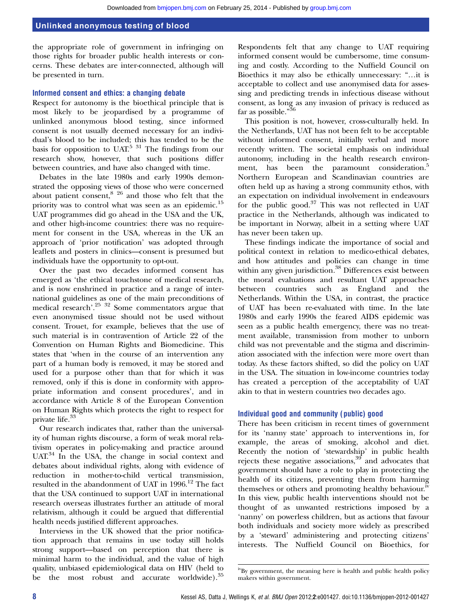the appropriate role of government in infringing on those rights for broader public health interests or concerns. These debates are inter-connected, although will be presented in turn.

#### Informed consent and ethics: a changing debate

Respect for autonomy is the bioethical principle that is most likely to be jeopardised by a programme of unlinked anonymous blood testing, since informed consent is not usually deemed necessary for an individual's blood to be included; this has tended to be the basis for opposition to UAT.<sup>5 31</sup> The findings from our research show, however, that such positions differ between countries, and have also changed with time.

Debates in the late 1980s and early 1990s demonstrated the opposing views of those who were concerned about patient consent,8 26 and those who felt that the priority was to control what was seen as an epidemic.<sup>15</sup> UAT programmes did go ahead in the USA and the UK, and other high-income countries: there was no requirement for consent in the USA, whereas in the UK an approach of 'prior notification' was adopted through leaflets and posters in clinics—consent is presumed but individuals have the opportunity to opt-out.

Over the past two decades informed consent has emerged as 'the ethical touchstone of medical research, and is now enshrined in practice and a range of international guidelines as one of the main preconditions of medical research'. 25 32 Some commentators argue that even anonymised tissue should not be used without consent. Trouet, for example, believes that the use of such material is in contravention of Article 22 of the Convention on Human Rights and Biomedicine. This states that 'when in the course of an intervention any part of a human body is removed, it may be stored and used for a purpose other than that for which it was removed, only if this is done in conformity with appropriate information and consent procedures', and in accordance with Article 8 of the European Convention on Human Rights which protects the right to respect for private life.<sup>33</sup>

Our research indicates that, rather than the universality of human rights discourse, a form of weak moral relativism operates in policy-making and practice around UAT.<sup>34</sup> In the USA, the change in social context and debates about individual rights, along with evidence of reduction in mother-to-child vertical transmission, resulted in the abandonment of UAT in 1996.<sup>12</sup> The fact that the USA continued to support UAT in international research overseas illustrates further an attitude of moral relativism, although it could be argued that differential health needs justified different approaches.

Interviews in the UK showed that the prior notification approach that remains in use today still holds strong support—based on perception that there is minimal harm to the individual, and the value of high quality, unbiased epidemiological data on HIV (held to be the most robust and accurate worldwide).<sup>35</sup>

Respondents felt that any change to UAT requiring informed consent would be cumbersome, time consuming and costly. According to the Nuffield Council on Bioethics it may also be ethically unnecessary: "…it is acceptable to collect and use anonymised data for assessing and predicting trends in infectious disease without consent, as long as any invasion of privacy is reduced as far as possible." 36

This position is not, however, cross-culturally held. In the Netherlands, UAT has not been felt to be acceptable without informed consent, initially verbal and more recently written. The societal emphasis on individual autonomy, including in the health research environment, has been the paramount consideration.<sup>5</sup> Northern European and Scandinavian countries are often held up as having a strong community ethos, with an expectation on individual involvement in endeavours for the public good. $37$  This was not reflected in UAT practice in the Netherlands, although was indicated to be important in Norway, albeit in a setting where UAT has never been taken up.

These findings indicate the importance of social and political context in relation to medico-ethical debates, and how attitudes and policies can change in time within any given jurisdiction.<sup>38</sup> Differences exist between the moral evaluations and resultant UAT approaches between countries such as England and the Netherlands. Within the USA, in contrast, the practice of UAT has been re-evaluated with time. In the late 1980s and early 1990s the feared AIDS epidemic was seen as a public health emergency, there was no treatment available, transmission from mother to unborn child was not preventable and the stigma and discrimination associated with the infection were more overt than today. As these factors shifted, so did the policy on UAT in the USA. The situation in low-income countries today has created a perception of the acceptability of UAT akin to that in western countries two decades ago.

#### Individual good and community ( public) good

There has been criticism in recent times of government for its 'nanny state' approach to interventions in, for example, the areas of smoking, alcohol and diet. Recently the notion of 'stewardship' in public health rejects these negative associations,<sup>39</sup> and advocates that government should have a role to play in protecting the health of its citizens, preventing them from harming themselves or others and promoting healthy behaviour.<sup>iv</sup> In this view, public health interventions should not be thought of as unwanted restrictions imposed by a 'nanny' on powerless children, but as actions that favour both individuals and society more widely as prescribed by a 'steward' administering and protecting citizens' interests. The Nuffield Council on Bioethics, for

ivBy government, the meaning here is health and public health policy makers within government.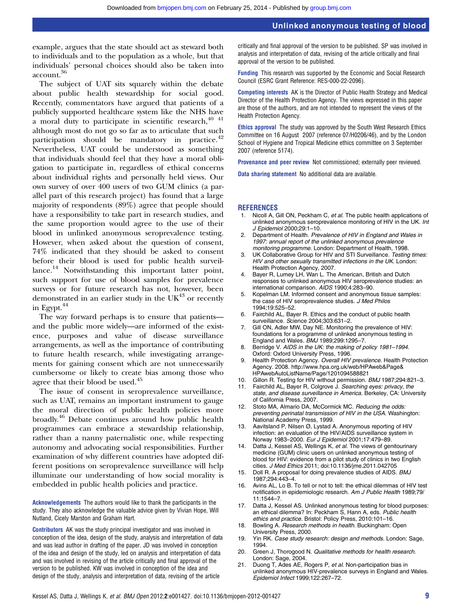example, argues that the state should act as steward both to individuals and to the population as a whole, but that individuals' personal choices should also be taken into account.36

The subject of UAT sits squarely within the debate about public health stewardship for social good. Recently, commentators have argued that patients of a publicly supported healthcare system like the NHS have a moral duty to participate in scientific research, $40$   $41$ although most do not go so far as to articulate that such participation should be mandatory in practice.<sup>42</sup> Nevertheless, UAT could be understood as something that individuals should feel that they have a moral obligation to participate in, regardless of ethical concerns about individual rights and personally held views. Our own survey of over 400 users of two GUM clinics (a parallel part of this research project) has found that a large majority of respondents (89%) agree that people should have a responsibility to take part in research studies, and the same proportion would agree to the use of their blood in unlinked anonymous seroprevalence testing. However, when asked about the question of consent, 74% indicated that they should be asked to consent before their blood is used for public health surveil $lance.<sup>14</sup>$  Notwithstanding this important latter point, such support for use of blood samples for prevalence surveys or for future research has not, however, been demonstrated in an earlier study in the  $UK<sup>43</sup>$  or recently in Egypt. $44$ 

The way forward perhaps is to ensure that patients and the public more widely—are informed of the existence, purposes and value of disease surveillance arrangements, as well as the importance of contributing to future health research, while investigating arrangements for gaining consent which are not unnecessarily cumbersome or likely to create bias among those who agree that their blood be used.<sup>45</sup>

The issue of consent in seroprevalence surveillance, such as UAT, remains an important instrument to gauge the moral direction of public health policies more broadly.46 Debate continues around how public health programmes can embrace a stewardship relationship, rather than a nanny paternalistic one, while respecting autonomy and advocating social responsibilities. Further examination of why different countries have adopted different positions on seroprevalence surveillance will help illuminate our understanding of how social morality is embedded in public health policies and practice.

Acknowledgements The authors would like to thank the participants in the study. They also acknowledge the valuable advice given by Vivian Hope, Will Nutland, Cicely Marston and Graham Hart.

Contributors AK was the study principal investigator and was involved in conception of the idea, design of the study, analysis and interpretation of data and was lead author in drafting of the paper. JD was involved in conception of the idea and design of the study, led on analysis and interpretation of data and was involved in revising of the article critically and final approval of the version to be published. KW was involved in conception of the idea and design of the study, analysis and interpretation of data, revising of the article

critically and final approval of the version to be published. SP was involved in analysis and interpretation of data, revising of the article critically and final approval of the version to be published.

Funding This research was supported by the Economic and Social Research Council (ESRC Grant Reference: RES-000-22-2096).

Competing interests AK is the Director of Public Health Strategy and Medical Director of the Health Protection Agency. The views expressed in this paper are those of the authors, and are not intended to represent the views of the Health Protection Agency.

Ethics approval The study was approved by the South West Research Ethics Committee on 16 August 2007 (reference 07/H0206/46), and by the London School of Hygiene and Tropical Medicine ethics committee on 3 September 2007 (reference 5174).

Provenance and peer review Not commissioned; externally peer reviewed.

Data sharing statement No additional data are available.

#### **REFERENCES**

- 1. Nicoll A, Gill ON, Peckham C, et al. The public health applications of unlinked anonymous seroprevalence monitoring of HIV in the UK. Int J Epidemiol 2000;29:1–10.
- 2. Department of Health. Prevalence of HIV in England and Wales in 1997: annual report of the unlinked anonymous prevalence monitoring programme. London: Department of Health, 1998.
- UK Collaborative Group for HIV and STI Surveillance. Testing times: HIV and other sexually transmitted infections in the UK. London: Health Protection Agency, 2007.
- 4. Bayer R, Lumey LH, Wan L. The American, British and Dutch responses to unlinked anonymous HIV seroprevalence studies: an international comparison. AIDS 1990;4:283-90.
- 5. Kopelman LM. Informed consent and anonymous tissue samples: the case of HIV seroprevalence studies. J Med Philos 1994;19:525–52.
- 6. Fairchild AL, Bayer R. Ethics and the conduct of public health surveillance. Science 2004;303:631–2.
- 7. Gill ON, Adler MW, Day NE. Monitoring the prevalence of HIV: foundations for a programme of unlinked anonymous testing in England and Wales. BMJ 1989;299:1295–7.
- Berridge V. AIDS in the UK: the making of policy 1981-1994. Oxford: Oxford University Press, 1996.
- 9. Health Protection Agency. Overall HIV prevalence. Health Protection Agency. 2008. [http://www.hpa.org.uk/web/HPAweb&Page&](http://www.hpa.org.uk/web/HPAweb&Page&HPAwebAutoListName/Page/1201094588821) [HPAwebAutoListName/Page/1201094588821](http://www.hpa.org.uk/web/HPAweb&Page&HPAwebAutoListName/Page/1201094588821)
- 10. Gillon R. Testing for HIV without permission. BMJ 1987;294:821–3.
- 11. Fairchild AL, Bayer R, Colgrove J. Searching eyes: privacy, the state, and disease surveillance in America. Berkeley, CA: University of California Press, 2007.
- 12. Stoto MA, Almario DA, McCormick MC. Reducing the odds: preventing perinatal transmission of HIV in the USA. Washington: National Academy Press, 1999.
- 13. Aavitsland P, Nilsen Ø, Lystad A. Anonymous reporting of HIV infection: an evaluation of the HIV/AIDS surveillance system in Norway 1983–2000. Eur J Epidemiol 2001;17:479–89.
- 14. Datta J, Kessel AS, Wellings K, et al. The views of genitourinary medicine (GUM) clinic users on unlinked anonymous testing of blood for HIV: evidence from a pilot study of clinics in two English cities. J Med Ethics 2011; doi:[10.1136/jme.2011.042705](http://dx.doi.org/10.1136/jme.2011.042705)
- 15. Doll R. A proposal for doing prevalence studies of AIDS. BMJ 1987;294:443–4.
- 16. Avins AL, Lo B. To tell or not to tell: the ethical dilemmas of HIV test notification in epidemiologic research. Am J Public Health 1989;79/ 11:1544–7.
- 17. Datta J, Kessel AS. Unlinked anonymous testing for blood purposes: an ethical dilemma? In: Peckham S, Hann A, eds. Public health ethics and practice. Bristol: Policy Press, 2010:101–16.
- 18. Bowling A. Research methods in health. Buckingham: Open University Press, 2000.
- 19. Yin RK. Case study research: design and methods. London: Sage, 1994.
- 20. Green J, Thorogood N. Qualitative methods for health research. London: Sage, 2004.
- 21. Duong T, Ades AE, Rogers P, et al. Non-participation bias in unlinked anonymous HIV-prevalence surveys in England and Wales. Epidemiol Infect 1999;122:267–72.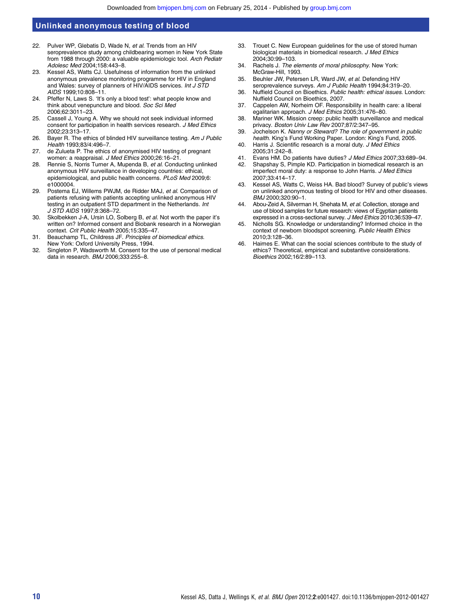- 22. Pulver WP, Glebatis D, Wade N, et al. Trends from an HIV seroprevalence study among childbearing women in New York State from 1988 through 2000: a valuable epidemiologic tool. Arch Pediatr Adolesc Med 2004;158:443–8.
- 23. Kessel AS, Watts CJ. Usefulness of information from the unlinked anonymous prevalence monitoring programme for HIV in England and Wales: survey of planners of HIV/AIDS services. Int J STD AIDS 1999;10:808–11.
- 24. Pfeffer N, Laws S. 'It's only a blood test': what people know and think about venepuncture and blood. Soc Sci Med 2006;62:3011–23.
- 25. Cassell J, Young A. Why we should not seek individual informed consent for participation in health services research. J Med Ethics 2002;23:313–17.
- 26. Bayer R. The ethics of blinded HIV surveillance testing. Am J Public Health 1993;83/4:496–7.
- 27. de Zulueta P. The ethics of anonymised HIV testing of pregnant women: a reappraisal. J Med Ethics 2000;26:16–21.
- 28. Rennie S, Norris Turner A, Mupenda B, et al. Conducting unlinked anonymous HIV surveillance in developing countries: ethical, epidemiological, and public health concerns. PLoS Med 2009;6: e1000004.
- 29. Postema EJ, Willems PWJM, de Ridder MAJ, et al. Comparison of patients refusing with patients accepting unlinked anonymous HIV testing in an outpatient STD department in the Netherlands. Int J STD AIDS 1997;8:368–72.
- 30. Skolbekken J-A, Ursin LO, Solberg B, et al. Not worth the paper it's written on? Informed consent and Biobank research in a Norwegian context. Crit Public Health 2005;15:335–47.
- 31. Beauchamp TL, Childress JF. Principles of biomedical ethics. New York: Oxford University Press, 1994.
- 32. Singleton P, Wadsworth M. Consent for the use of personal medical data in research. BMJ 2006;333:255–8.
- 33. Trouet C. New European guidelines for the use of stored human biological materials in biomedical research. J Med Ethics 2004;30:99–103.
- 34. Rachels J. The elements of moral philosophy. New York: McGraw-Hill, 1993.
- 35. Beuhler JW, Petersen LR, Ward JW, et al. Defending HIV seroprevalence surveys. Am J Public Health 1994;84:319-20.
- 36. Nuffield Council on Bioethics. Public health: ethical issues. London: Nuffield Council on Bioethics, 2007.
- 37. Cappelen AW, Norheim OF. Responsibility in health care: a liberal egalitarian approach. J Med Ethics 2005;31:476–80.
- 38. Mariner WK. Mission creep: public health surveillance and medical privacy. Boston Univ Law Rev 2007;87/2:347–95.
- 39. Jochelson K. Nanny or Steward? The role of government in public health. King's Fund Working Paper. London: King's Fund, 2005.
- 40. Harris J. Scientific research is a moral duty. J Med Ethics 2005;31:242–8.
- 41. Evans HM. Do patients have duties? J Med Ethics 2007;33:689-94.
- 42. Shapshay S, Pimple KD. Participation in biomedical research is an imperfect moral duty: a response to John Harris. J Med Ethics 2007;33:414–17.
- 43. Kessel AS, Watts C, Weiss HA. Bad blood? Survey of public's views on unlinked anonymous testing of blood for HIV and other diseases. BMJ 2000;320:90–1.
- 44. Abou-Zeid A, Silverman H, Shehata M, et al. Collection, storage and use of blood samples for future research: views of Egyptian patients expressed in a cross-sectional survey. J Med Ethics 2010;36:539–47.
- 45. Nicholls SG. Knowledge or understanding? Informed choice in the context of newborn bloodspot screening. Public Health Ethics 2010;3:128–36.
- Haimes E. What can the social sciences contribute to the study of ethics? Theoretical, empirical and substantive considerations. Bioethics 2002;16/2:89–113.